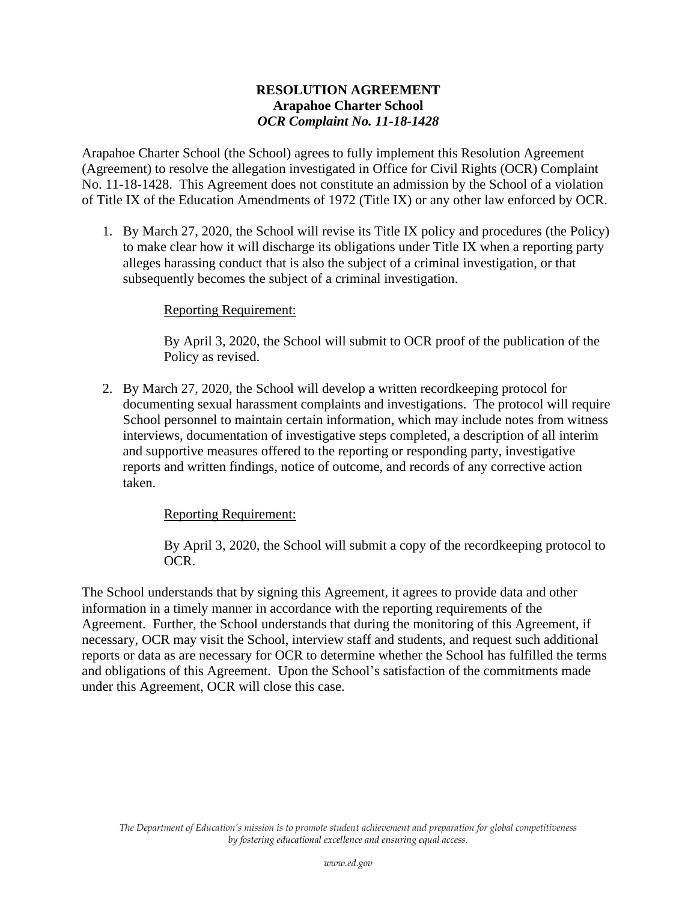## **RESOLUTION AGREEMENT Arapahoe Charter School** *OCR Complaint No. 11-18-1428*

Arapahoe Charter School (the School) agrees to fully implement this Resolution Agreement (Agreement) to resolve the allegation investigated in Office for Civil Rights (OCR) Complaint No. 11-18-1428. This Agreement does not constitute an admission by the School of a violation of Title IX of the Education Amendments of 1972 (Title IX) or any other law enforced by OCR.

1. By March 27, 2020, the School will revise its Title IX policy and procedures (the Policy) to make clear how it will discharge its obligations under Title IX when a reporting party alleges harassing conduct that is also the subject of a criminal investigation, or that subsequently becomes the subject of a criminal investigation.

## Reporting Requirement:

By April 3, 2020, the School will submit to OCR proof of the publication of the Policy as revised.

2. By March 27, 2020, the School will develop a written recordkeeping protocol for documenting sexual harassment complaints and investigations. The protocol will require School personnel to maintain certain information, which may include notes from witness interviews, documentation of investigative steps completed, a description of all interim and supportive measures offered to the reporting or responding party, investigative reports and written findings, notice of outcome, and records of any corrective action taken.

## Reporting Requirement:

By April 3, 2020, the School will submit a copy of the recordkeeping protocol to OCR.

The School understands that by signing this Agreement, it agrees to provide data and other information in a timely manner in accordance with the reporting requirements of the Agreement. Further, the School understands that during the monitoring of this Agreement, if necessary, OCR may visit the School, interview staff and students, and request such additional reports or data as are necessary for OCR to determine whether the School has fulfilled the terms and obligations of this Agreement. Upon the School's satisfaction of the commitments made under this Agreement, OCR will close this case.